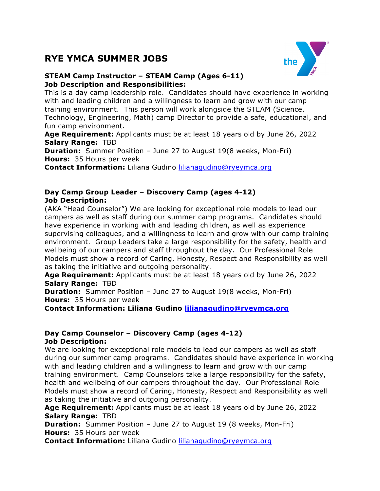# **RYE YMCA SUMMER JOBS**



# **STEAM Camp Instructor – STEAM Camp (Ages 6-11) Job Description and Responsibilities:**

This is a day camp leadership role. Candidates should have experience in working with and leading children and a willingness to learn and grow with our camp training environment. This person will work alongside the STEAM (Science, Technology, Engineering, Math) camp Director to provide a safe, educational, and fun camp environment.

**Age Requirement:** Applicants must be at least 18 years old by June 26, 2022 **Salary Range:** TBD

**Duration:** Summer Position – June 27 to August 19(8 weeks, Mon-Fri) **Hours:** 35 Hours per week

**Contact Information:** Liliana Gudino lilianagudino@ryeymca.org

# **Day Camp Group Leader – Discovery Camp (ages 4-12) Job Description:**

(AKA "Head Counselor") We are looking for exceptional role models to lead our campers as well as staff during our summer camp programs. Candidates should have experience in working with and leading children, as well as experience supervising colleagues, and a willingness to learn and grow with our camp training environment. Group Leaders take a large responsibility for the safety, health and wellbeing of our campers and staff throughout the day. Our Professional Role Models must show a record of Caring, Honesty, Respect and Responsibility as well as taking the initiative and outgoing personality.

**Age Requirement:** Applicants must be at least 18 years old by June 26, 2022 **Salary Range:** TBD

**Duration:** Summer Position – June 27 to August 19(8 weeks, Mon-Fri) **Hours:** 35 Hours per week

**Contact Information: Liliana Gudino lilianagudino@ryeymca.org**

## **Day Camp Counselor – Discovery Camp (ages 4-12) Job Description:**

We are looking for exceptional role models to lead our campers as well as staff during our summer camp programs. Candidates should have experience in working with and leading children and a willingness to learn and grow with our camp training environment. Camp Counselors take a large responsibility for the safety, health and wellbeing of our campers throughout the day. Our Professional Role Models must show a record of Caring, Honesty, Respect and Responsibility as well as taking the initiative and outgoing personality.

**Age Requirement:** Applicants must be at least 18 years old by June 26, 2022 **Salary Range:** TBD

**Duration:** Summer Position – June 27 to August 19 (8 weeks, Mon-Fri) **Hours:** 35 Hours per week

**Contact Information:** Liliana Gudino lilianagudino@ryeymca.org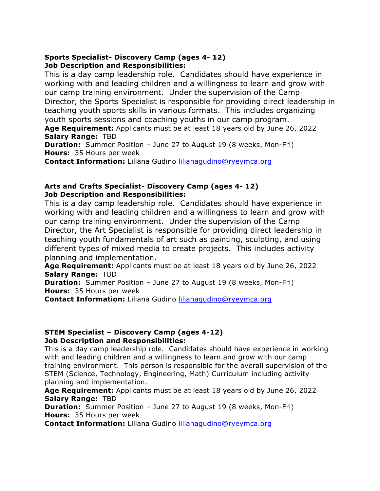# **Sports Specialist- Discovery Camp (ages 4- 12) Job Description and Responsibilities:**

This is a day camp leadership role. Candidates should have experience in working with and leading children and a willingness to learn and grow with our camp training environment. Under the supervision of the Camp Director, the Sports Specialist is responsible for providing direct leadership in teaching youth sports skills in various formats. This includes organizing youth sports sessions and coaching youths in our camp program.

**Age Requirement:** Applicants must be at least 18 years old by June 26, 2022 **Salary Range:** TBD

**Duration:** Summer Position – June 27 to August 19 (8 weeks, Mon-Fri) **Hours:** 35 Hours per week

**Contact Information:** Liliana Gudino lilianagudino@ryeymca.org

## **Arts and Crafts Specialist- Discovery Camp (ages 4- 12) Job Description and Responsibilities:**

This is a day camp leadership role. Candidates should have experience in working with and leading children and a willingness to learn and grow with our camp training environment. Under the supervision of the Camp Director, the Art Specialist is responsible for providing direct leadership in teaching youth fundamentals of art such as painting, sculpting, and using different types of mixed media to create projects. This includes activity planning and implementation.

**Age Requirement:** Applicants must be at least 18 years old by June 26, 2022 **Salary Range:** TBD

**Duration:** Summer Position – June 27 to August 19 (8 weeks, Mon-Fri) **Hours:** 35 Hours per week

**Contact Information:** Liliana Gudino lilianagudino@ryeymca.org

# **STEM Specialist – Discovery Camp (ages 4-12) Job Description and Responsibilities:**

This is a day camp leadership role. Candidates should have experience in working with and leading children and a willingness to learn and grow with our camp training environment. This person is responsible for the overall supervision of the STEM (Science, Technology, Engineering, Math) Curriculum including activity planning and implementation.

**Age Requirement:** Applicants must be at least 18 years old by June 26, 2022 **Salary Range:** TBD

**Duration:** Summer Position – June 27 to August 19 (8 weeks, Mon-Fri) **Hours:** 35 Hours per week

**Contact Information:** Liliana Gudino lilianagudino@ryeymca.org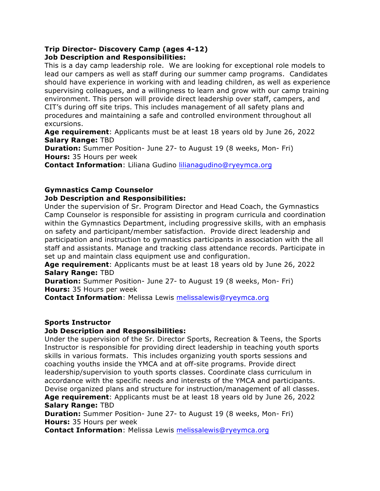# **Trip Director- Discovery Camp (ages 4-12) Job Description and Responsibilities:**

This is a day camp leadership role. We are looking for exceptional role models to lead our campers as well as staff during our summer camp programs. Candidates should have experience in working with and leading children, as well as experience supervising colleagues, and a willingness to learn and grow with our camp training environment. This person will provide direct leadership over staff, campers, and CIT's during off site trips. This includes management of all safety plans and procedures and maintaining a safe and controlled environment throughout all excursions.

**Age requirement**: Applicants must be at least 18 years old by June 26, 2022 **Salary Range:** TBD

**Duration:** Summer Position- June 27- to August 19 (8 weeks, Mon- Fri) **Hours:** 35 Hours per week

**Contact Information**: Liliana Gudino lilianagudino@ryeymca.org

# **Gymnastics Camp Counselor**

## **Job Description and Responsibilities:**

Under the supervision of Sr. Program Director and Head Coach, the Gymnastics Camp Counselor is responsible for assisting in program curricula and coordination within the Gymnastics Department, including progressive skills, with an emphasis on safety and participant/member satisfaction. Provide direct leadership and participation and instruction to gymnastics participants in association with the all staff and assistants. Manage and tracking class attendance records. Participate in set up and maintain class equipment use and configuration.

**Age requirement**: Applicants must be at least 18 years old by June 26, 2022 **Salary Range:** TBD

**Duration:** Summer Position- June 27- to August 19 (8 weeks, Mon- Fri) **Hours:** 35 Hours per week

**Contact Information**: Melissa Lewis melissalewis@ryeymca.org

#### **Sports Instructor**

#### **Job Description and Responsibilities:**

Under the supervision of the Sr. Director Sports, Recreation & Teens, the Sports Instructor is responsible for providing direct leadership in teaching youth sports skills in various formats. This includes organizing youth sports sessions and coaching youths inside the YMCA and at off-site programs. Provide direct leadership/supervision to youth sports classes. Coordinate class curriculum in accordance with the specific needs and interests of the YMCA and participants. Devise organized plans and structure for instruction/management of all classes. **Age requirement**: Applicants must be at least 18 years old by June 26, 2022

#### **Salary Range:** TBD

**Duration:** Summer Position- June 27- to August 19 (8 weeks, Mon- Fri) **Hours:** 35 Hours per week

**Contact Information**: Melissa Lewis melissalewis@ryeymca.org